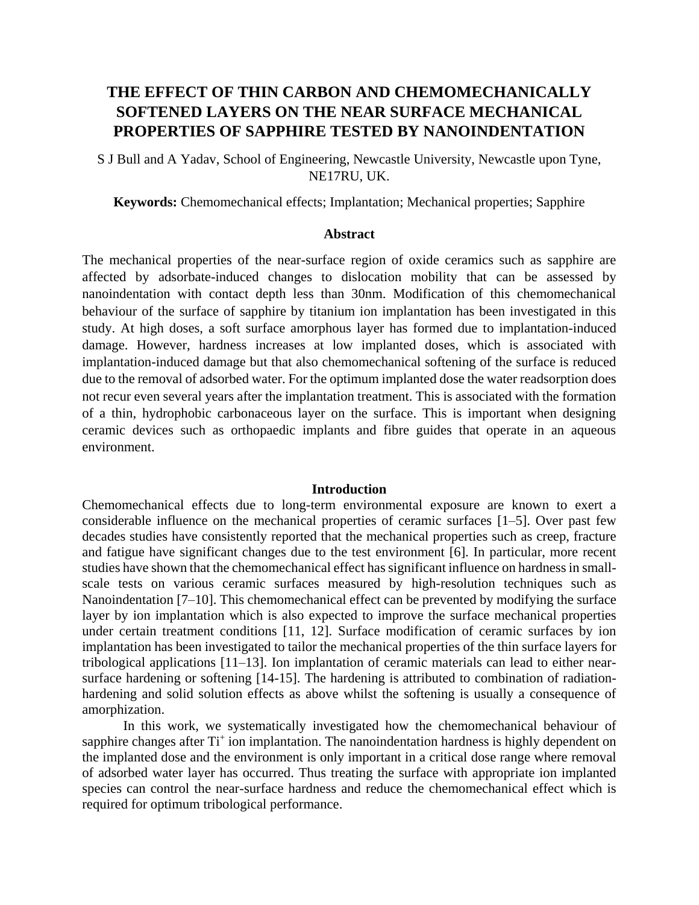# **THE EFFECT OF THIN CARBON AND CHEMOMECHANICALLY SOFTENED LAYERS ON THE NEAR SURFACE MECHANICAL PROPERTIES OF SAPPHIRE TESTED BY NANOINDENTATION**

S J Bull and A Yadav, School of Engineering, Newcastle University, Newcastle upon Tyne, NE17RU, UK.

**Keywords:** Chemomechanical effects; Implantation; Mechanical properties; Sapphire

# **Abstract**

The mechanical properties of the near-surface region of oxide ceramics such as sapphire are affected by adsorbate-induced changes to dislocation mobility that can be assessed by nanoindentation with contact depth less than 30nm. Modification of this chemomechanical behaviour of the surface of sapphire by titanium ion implantation has been investigated in this study. At high doses, a soft surface amorphous layer has formed due to implantation-induced damage. However, hardness increases at low implanted doses, which is associated with implantation-induced damage but that also chemomechanical softening of the surface is reduced due to the removal of adsorbed water. For the optimum implanted dose the water readsorption does not recur even several years after the implantation treatment. This is associated with the formation of a thin, hydrophobic carbonaceous layer on the surface. This is important when designing ceramic devices such as orthopaedic implants and fibre guides that operate in an aqueous environment.

### **Introduction**

Chemomechanical effects due to long-term environmental exposure are known to exert a considerable influence on the mechanical properties of ceramic surfaces [1–5]. Over past few decades studies have consistently reported that the mechanical properties such as creep, fracture and fatigue have significant changes due to the test environment [6]. In particular, more recent studies have shown that the chemomechanical effect has significant influence on hardness in smallscale tests on various ceramic surfaces measured by high-resolution techniques such as Nanoindentation [7–10]. This chemomechanical effect can be prevented by modifying the surface layer by ion implantation which is also expected to improve the surface mechanical properties under certain treatment conditions [11, 12]. Surface modification of ceramic surfaces by ion implantation has been investigated to tailor the mechanical properties of the thin surface layers for tribological applications [11–13]. Ion implantation of ceramic materials can lead to either nearsurface hardening or softening [14-15]. The hardening is attributed to combination of radiationhardening and solid solution effects as above whilst the softening is usually a consequence of amorphization.

In this work, we systematically investigated how the chemomechanical behaviour of sapphire changes after Ti<sup>+</sup> ion implantation. The nanoindentation hardness is highly dependent on the implanted dose and the environment is only important in a critical dose range where removal of adsorbed water layer has occurred. Thus treating the surface with appropriate ion implanted species can control the near-surface hardness and reduce the chemomechanical effect which is required for optimum tribological performance.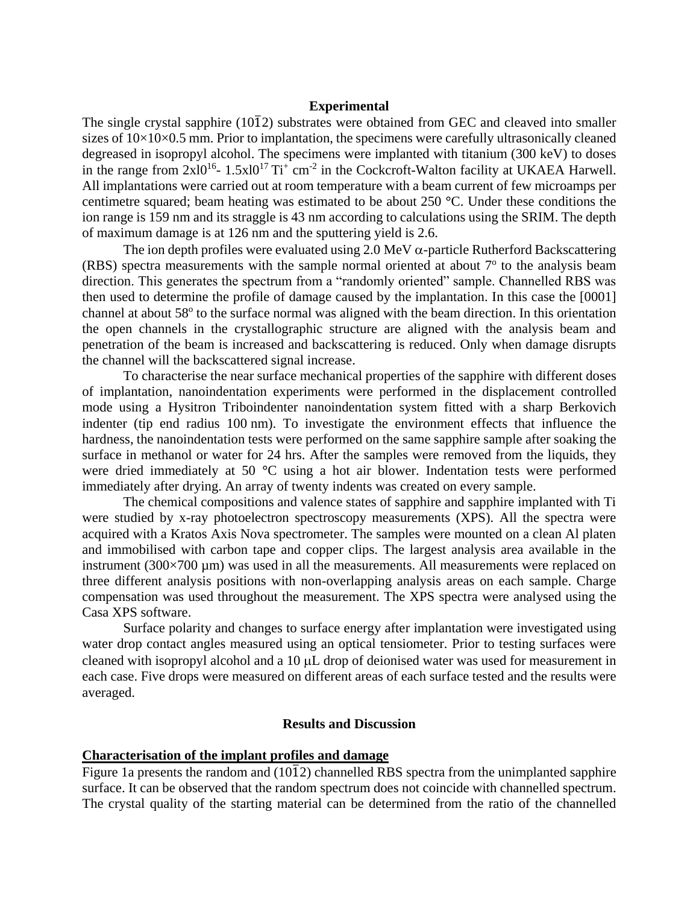# **Experimental**

The single crystal sapphire  $(10\overline{1}2)$  substrates were obtained from GEC and cleaved into smaller sizes of  $10\times10\times0.5$  mm. Prior to implantation, the specimens were carefully ultrasonically cleaned degreased in isopropyl alcohol. The specimens were implanted with titanium (300 keV) to doses in the range from  $2x10^{16}$ -  $1.5x10^{17}$  Ti<sup>+</sup> cm<sup>-2</sup> in the Cockcroft-Walton facility at UKAEA Harwell. All implantations were carried out at room temperature with a beam current of few microamps per centimetre squared; beam heating was estimated to be about 250 **°**C. Under these conditions the ion range is 159 nm and its straggle is 43 nm according to calculations using the SRIM. The depth of maximum damage is at 126 nm and the sputtering yield is 2.6.

The ion depth profiles were evaluated using 2.0 MeV  $\alpha$ -particle Rutherford Backscattering (RBS) spectra measurements with the sample normal oriented at about  $7^{\circ}$  to the analysis beam direction. This generates the spectrum from a "randomly oriented" sample. Channelled RBS was then used to determine the profile of damage caused by the implantation. In this case the [0001] channel at about 58° to the surface normal was aligned with the beam direction. In this orientation the open channels in the crystallographic structure are aligned with the analysis beam and penetration of the beam is increased and backscattering is reduced. Only when damage disrupts the channel will the backscattered signal increase.

To characterise the near surface mechanical properties of the sapphire with different doses of implantation, nanoindentation experiments were performed in the displacement controlled mode using a Hysitron Triboindenter nanoindentation system fitted with a sharp Berkovich indenter (tip end radius 100 nm). To investigate the environment effects that influence the hardness, the nanoindentation tests were performed on the same sapphire sample after soaking the surface in methanol or water for 24 hrs. After the samples were removed from the liquids, they were dried immediately at 50 **°**C using a hot air blower. Indentation tests were performed immediately after drying. An array of twenty indents was created on every sample.

The chemical compositions and valence states of sapphire and sapphire implanted with Ti were studied by x-ray photoelectron spectroscopy measurements (XPS). All the spectra were acquired with a Kratos Axis Nova spectrometer. The samples were mounted on a clean Al platen and immobilised with carbon tape and copper clips. The largest analysis area available in the instrument  $(300\times700 \mu m)$  was used in all the measurements. All measurements were replaced on three different analysis positions with non-overlapping analysis areas on each sample. Charge compensation was used throughout the measurement. The XPS spectra were analysed using the Casa XPS software.

Surface polarity and changes to surface energy after implantation were investigated using water drop contact angles measured using an optical tensiometer. Prior to testing surfaces were cleaned with isopropyl alcohol and a 10  $\mu$ L drop of deionised water was used for measurement in each case. Five drops were measured on different areas of each surface tested and the results were averaged.

## **Results and Discussion**

# **Characterisation of the implant profiles and damage**

Figure 1a presents the random and  $(10\overline{1}2)$  channelled RBS spectra from the unimplanted sapphire surface. It can be observed that the random spectrum does not coincide with channelled spectrum. The crystal quality of the starting material can be determined from the ratio of the channelled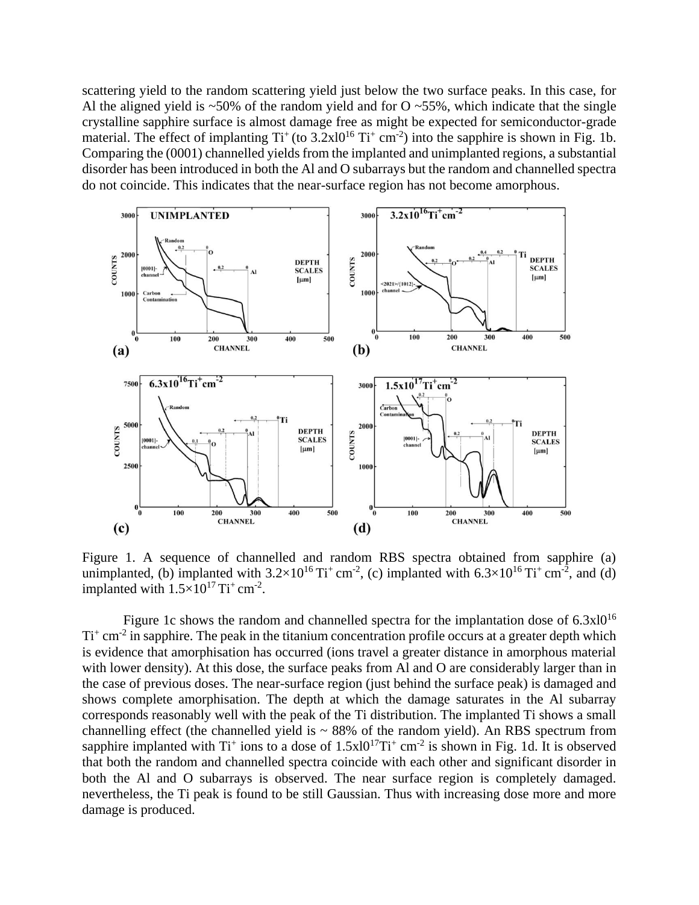scattering yield to the random scattering yield just below the two surface peaks. In this case, for Al the aligned yield is  $\sim$  50% of the random yield and for O  $\sim$  55%, which indicate that the single crystalline sapphire surface is almost damage free as might be expected for semiconductor-grade material. The effect of implanting  $Ti^+(to 3.2 \times 10^{16} T^+ \text{ cm}^{-2})$  into the sapphire is shown in Fig. 1b. Comparing the (0001) channelled yields from the implanted and unimplanted regions, a substantial disorder has been introduced in both the Al and O subarrays but the random and channelled spectra do not coincide. This indicates that the near-surface region has not become amorphous.



Figure 1. A sequence of channelled and random RBS spectra obtained from sapphire (a) unimplanted, (b) implanted with  $3.2 \times 10^{16}$  Ti<sup>+</sup> cm<sup>-2</sup>, (c) implanted with  $6.3 \times 10^{16}$  Ti<sup>+</sup> cm<sup>-2</sup>, and (d) implanted with  $1.5 \times 10^{17}$  Ti<sup>+</sup> cm<sup>-2</sup>.

Figure 1c shows the random and channelled spectra for the implantation dose of  $6.3x10^{16}$  $Ti<sup>+</sup> cm<sup>-2</sup>$  in sapphire. The peak in the titanium concentration profile occurs at a greater depth which is evidence that amorphisation has occurred (ions travel a greater distance in amorphous material with lower density). At this dose, the surface peaks from Al and O are considerably larger than in the case of previous doses. The near-surface region (just behind the surface peak) is damaged and shows complete amorphisation. The depth at which the damage saturates in the Al subarray corresponds reasonably well with the peak of the Ti distribution. The implanted Ti shows a small channelling effect (the channelled yield is  $\sim 88\%$  of the random yield). An RBS spectrum from sapphire implanted with  $Ti^+$  ions to a dose of  $1.5x10^{17}Ti^+$  cm<sup>-2</sup> is shown in Fig. 1d. It is observed that both the random and channelled spectra coincide with each other and significant disorder in both the Al and O subarrays is observed. The near surface region is completely damaged. nevertheless, the Ti peak is found to be still Gaussian. Thus with increasing dose more and more damage is produced.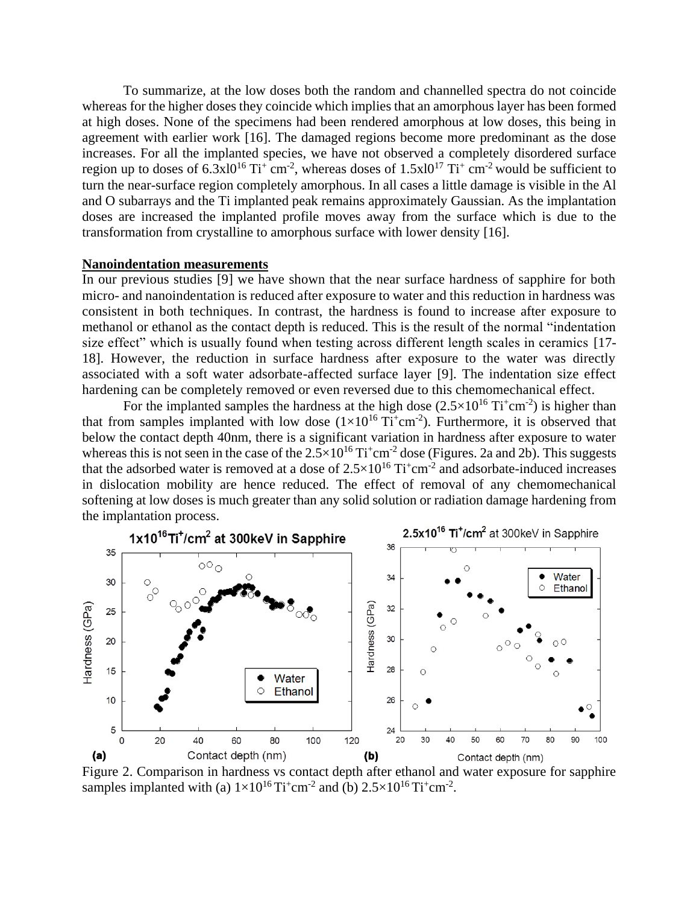To summarize, at the low doses both the random and channelled spectra do not coincide whereas for the higher doses they coincide which implies that an amorphous layer has been formed at high doses. None of the specimens had been rendered amorphous at low doses, this being in agreement with earlier work [16]. The damaged regions become more predominant as the dose increases. For all the implanted species, we have not observed a completely disordered surface region up to doses of  $6.3 \times 10^{16}$  Ti<sup>+</sup> cm<sup>-2</sup>, whereas doses of  $1.5 \times 10^{17}$  Ti<sup>+</sup> cm<sup>-2</sup> would be sufficient to turn the near-surface region completely amorphous. In all cases a little damage is visible in the Al and O subarrays and the Ti implanted peak remains approximately Gaussian. As the implantation doses are increased the implanted profile moves away from the surface which is due to the transformation from crystalline to amorphous surface with lower density [16].

# **Nanoindentation measurements**

In our previous studies [9] we have shown that the near surface hardness of sapphire for both micro- and nanoindentation is reduced after exposure to water and this reduction in hardness was consistent in both techniques. In contrast, the hardness is found to increase after exposure to methanol or ethanol as the contact depth is reduced. This is the result of the normal "indentation size effect" which is usually found when testing across different length scales in ceramics [17- 18]. However, the reduction in surface hardness after exposure to the water was directly associated with a soft water adsorbate-affected surface layer [9]. The indentation size effect hardening can be completely removed or even reversed due to this chemomechanical effect.

For the implanted samples the hardness at the high dose  $(2.5 \times 10^{16} \text{ Ti}^+ \text{cm}^{-2})$  is higher than that from samples implanted with low dose  $(1\times10^{16} \text{Ti}^+\text{cm}^{-2})$ . Furthermore, it is observed that below the contact depth 40nm, there is a significant variation in hardness after exposure to water whereas this is not seen in the case of the  $2.5 \times 10^{16}$  Ti<sup>+</sup>cm<sup>-2</sup> dose (Figures. 2a and 2b). This suggests that the adsorbed water is removed at a dose of  $2.5 \times 10^{16}$  Ti<sup>+</sup>cm<sup>-2</sup> and adsorbate-induced increases in dislocation mobility are hence reduced. The effect of removal of any chemomechanical softening at low doses is much greater than any solid solution or radiation damage hardening from the implantation process.



Figure 2. Comparison in hardness vs contact depth after ethanol and water exposure for sapphire samples implanted with (a)  $1\times10^{16}$  Ti<sup>+</sup>cm<sup>-2</sup> and (b)  $2.5\times10^{16}$  Ti<sup>+</sup>cm<sup>-2</sup>.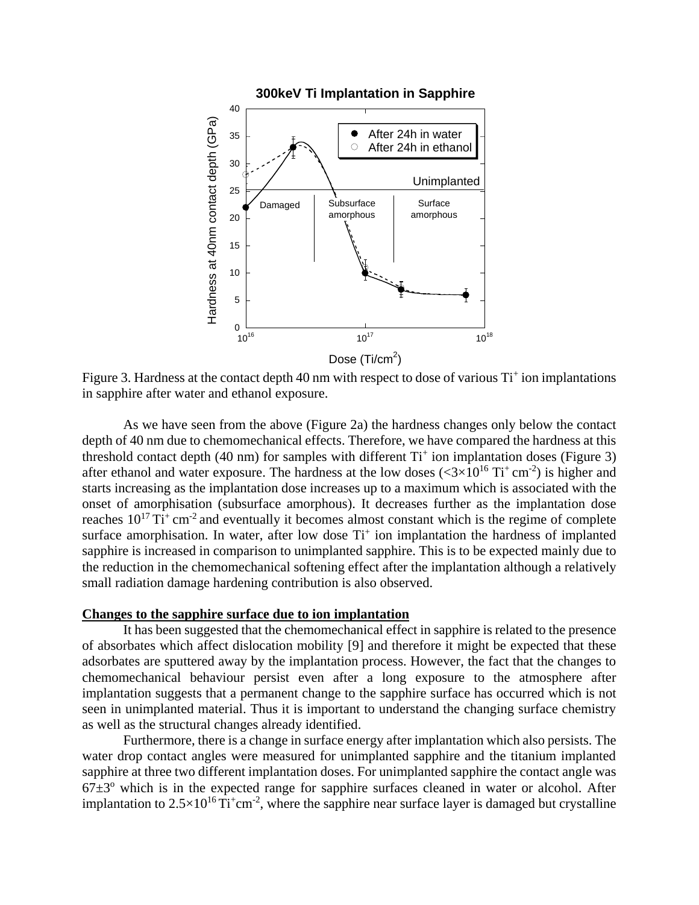

Figure 3. Hardness at the contact depth 40 nm with respect to dose of various Ti<sup>+</sup> ion implantations in sapphire after water and ethanol exposure.

As we have seen from the above (Figure 2a) the hardness changes only below the contact depth of 40 nm due to chemomechanical effects. Therefore, we have compared the hardness at this threshold contact depth (40 nm) for samples with different Ti<sup>+</sup> ion implantation doses (Figure 3) after ethanol and water exposure. The hardness at the low doses  $( $3 \times 10^{16}$  Ti<sup>+</sup> cm<sup>-2</sup>) is higher and$ starts increasing as the implantation dose increases up to a maximum which is associated with the onset of amorphisation (subsurface amorphous). It decreases further as the implantation dose reaches  $10^{17}$  Ti<sup>+</sup> cm<sup>-2</sup> and eventually it becomes almost constant which is the regime of complete surface amorphisation. In water, after low dose  $Ti<sup>+</sup>$  ion implantation the hardness of implanted sapphire is increased in comparison to unimplanted sapphire. This is to be expected mainly due to the reduction in the chemomechanical softening effect after the implantation although a relatively small radiation damage hardening contribution is also observed.

#### **Changes to the sapphire surface due to ion implantation**

It has been suggested that the chemomechanical effect in sapphire is related to the presence of absorbates which affect dislocation mobility [9] and therefore it might be expected that these adsorbates are sputtered away by the implantation process. However, the fact that the changes to chemomechanical behaviour persist even after a long exposure to the atmosphere after implantation suggests that a permanent change to the sapphire surface has occurred which is not seen in unimplanted material. Thus it is important to understand the changing surface chemistry as well as the structural changes already identified.

Furthermore, there is a change in surface energy after implantation which also persists. The water drop contact angles were measured for unimplanted sapphire and the titanium implanted sapphire at three two different implantation doses. For unimplanted sapphire the contact angle was  $67±3^\circ$  which is in the expected range for sapphire surfaces cleaned in water or alcohol. After implantation to  $2.5 \times 10^{16}$  Ti<sup>+</sup>cm<sup>-2</sup>, where the sapphire near surface layer is damaged but crystalline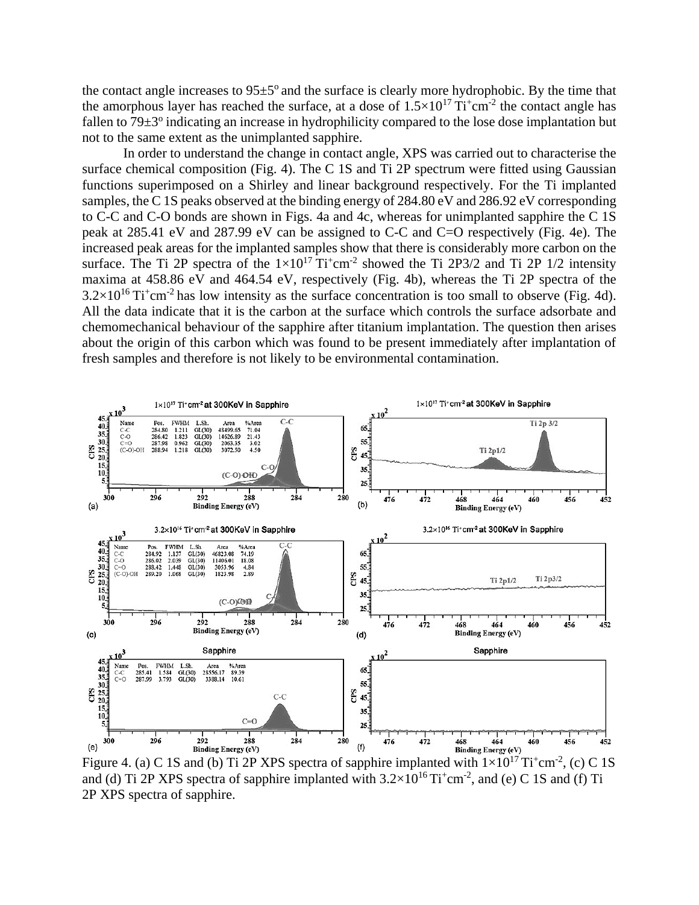the contact angle increases to  $95\pm5^{\circ}$  and the surface is clearly more hydrophobic. By the time that the amorphous layer has reached the surface, at a dose of  $1.5 \times 10^{17}$  Ti<sup>+</sup>cm<sup>-2</sup> the contact angle has fallen to  $79\pm3^{\circ}$  indicating an increase in hydrophilicity compared to the lose dose implantation but not to the same extent as the unimplanted sapphire.

In order to understand the change in contact angle, XPS was carried out to characterise the surface chemical composition (Fig. 4). The C 1S and Ti 2P spectrum were fitted using Gaussian functions superimposed on a Shirley and linear background respectively. For the Ti implanted samples, the C 1S peaks observed at the binding energy of 284.80 eV and 286.92 eV corresponding to C-C and C-O bonds are shown in Figs. 4a and 4c, whereas for unimplanted sapphire the C 1S peak at 285.41 eV and 287.99 eV can be assigned to C-C and C=O respectively (Fig. 4e). The increased peak areas for the implanted samples show that there is considerably more carbon on the surface. The Ti 2P spectra of the  $1\times10^{17}$  Ti<sup>+</sup>cm<sup>-2</sup> showed the Ti 2P3/2 and Ti 2P 1/2 intensity maxima at 458.86 eV and 464.54 eV, respectively (Fig. 4b), whereas the Ti 2P spectra of the  $3.2 \times 10^{16}$  Ti<sup>+</sup>cm<sup>-2</sup> has low intensity as the surface concentration is too small to observe (Fig. 4d). All the data indicate that it is the carbon at the surface which controls the surface adsorbate and chemomechanical behaviour of the sapphire after titanium implantation. The question then arises about the origin of this carbon which was found to be present immediately after implantation of fresh samples and therefore is not likely to be environmental contamination.



Figure 4. (a) C 1S and (b) Ti 2P XPS spectra of sapphire implanted with  $1 \times 10^{17}$  Ti<sup>+</sup>cm<sup>-2</sup>, (c) C 1S and (d) Ti 2P XPS spectra of sapphire implanted with  $3.2 \times 10^{16}$  Ti<sup>+</sup>cm<sup>-2</sup>, and (e) C 1S and (f) Ti 2P XPS spectra of sapphire.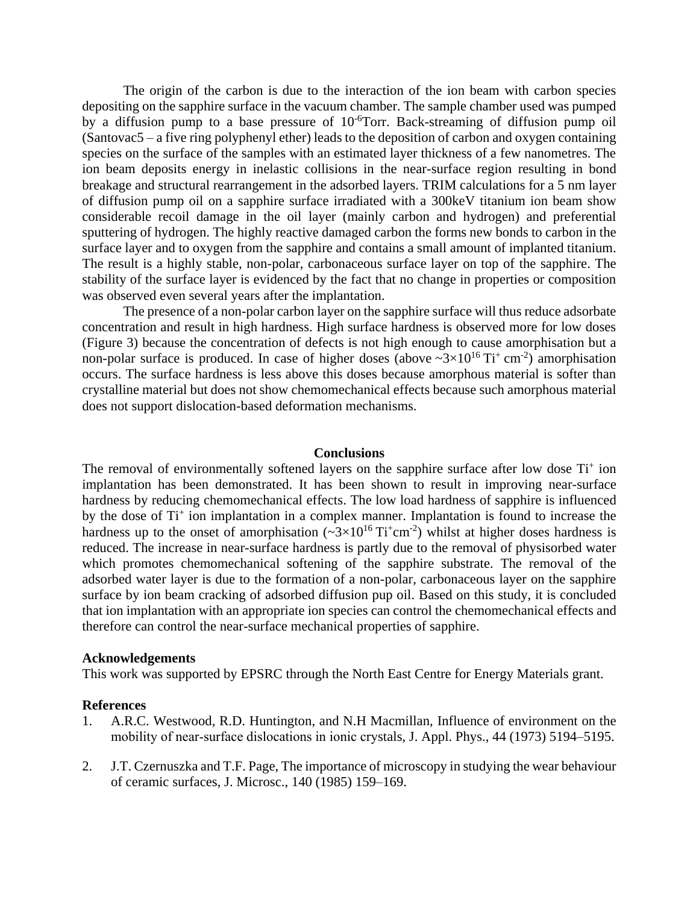The origin of the carbon is due to the interaction of the ion beam with carbon species depositing on the sapphire surface in the vacuum chamber. The sample chamber used was pumped by a diffusion pump to a base pressure of 10<sup>-6</sup>Torr. Back-streaming of diffusion pump oil (Santovac5 – a five ring polyphenyl ether) leads to the deposition of carbon and oxygen containing species on the surface of the samples with an estimated layer thickness of a few nanometres. The ion beam deposits energy in inelastic collisions in the near-surface region resulting in bond breakage and structural rearrangement in the adsorbed layers. TRIM calculations for a 5 nm layer of diffusion pump oil on a sapphire surface irradiated with a 300keV titanium ion beam show considerable recoil damage in the oil layer (mainly carbon and hydrogen) and preferential sputtering of hydrogen. The highly reactive damaged carbon the forms new bonds to carbon in the surface layer and to oxygen from the sapphire and contains a small amount of implanted titanium. The result is a highly stable, non-polar, carbonaceous surface layer on top of the sapphire. The stability of the surface layer is evidenced by the fact that no change in properties or composition was observed even several years after the implantation.

The presence of a non-polar carbon layer on the sapphire surface will thus reduce adsorbate concentration and result in high hardness. High surface hardness is observed more for low doses (Figure 3) because the concentration of defects is not high enough to cause amorphisation but a non-polar surface is produced. In case of higher doses (above  $\sim 3 \times 10^{16}$  Ti<sup>+</sup> cm<sup>-2</sup>) amorphisation occurs. The surface hardness is less above this doses because amorphous material is softer than crystalline material but does not show chemomechanical effects because such amorphous material does not support dislocation-based deformation mechanisms.

#### **Conclusions**

The removal of environmentally softened layers on the sapphire surface after low dose  $Ti<sup>+</sup>$  ion implantation has been demonstrated. It has been shown to result in improving near-surface hardness by reducing chemomechanical effects. The low load hardness of sapphire is influenced by the dose of Ti<sup>+</sup> ion implantation in a complex manner. Implantation is found to increase the hardness up to the onset of amorphisation  $(\sim 3 \times 10^{16} \text{Ti}^+ \text{cm}^{-2})$  whilst at higher doses hardness is reduced. The increase in near-surface hardness is partly due to the removal of physisorbed water which promotes chemomechanical softening of the sapphire substrate. The removal of the adsorbed water layer is due to the formation of a non-polar, carbonaceous layer on the sapphire surface by ion beam cracking of adsorbed diffusion pup oil. Based on this study, it is concluded that ion implantation with an appropriate ion species can control the chemomechanical effects and therefore can control the near-surface mechanical properties of sapphire.

#### **Acknowledgements**

This work was supported by EPSRC through the North East Centre for Energy Materials grant.

### **References**

- 1. A.R.C. Westwood, R.D. Huntington, and N.H Macmillan, Influence of environment on the mobility of near-surface dislocations in ionic crystals, J. Appl. Phys., 44 (1973) 5194–5195.
- 2. J.T. Czernuszka and T.F. Page, The importance of microscopy in studying the wear behaviour of ceramic surfaces, J. Microsc., 140 (1985) 159–169.